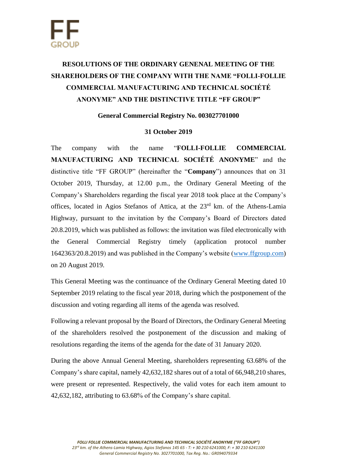## **RESOLUTIONS OF THE ORDINARY GENENAL MEETING OF THE SHAREHOLDERS OF THE COMPANY WITH THE NAME "FOLLI-FOLLIE COMMERCIAL MANUFACTURING AND TECHNICAL SOCIÉTÉ ANONYME" AND THE DISTINCTIVE TITLE "FF GROUP"**

## **General Commercial Registry No. 003027701000**

## **31 October 2019**

The company with the name "**FOLLI-FOLLIE COMMERCIAL MANUFACTURING AND TECHNICAL SOCIÉTÉ ANONYME**" and the distinctive title "FF GROUP" (hereinafter the "**Company**") announces that on 31 October 2019, Thursday, at 12.00 p.m., the Ordinary General Meeting of the Company's Shareholders regarding the fiscal year 2018 took place at the Company's offices, located in Agios Stefanos of Attica, at the 23<sup>rd</sup> km. of the Athens-Lamia Highway, pursuant to the invitation by the Company's Board of Directors dated 20.8.2019, which was published as follows: the invitation was filed electronically with the General Commercial Registry timely (application protocol number 1642363/20.8.2019) and was published in the Company's website [\(www.ffgroup.com\)](http://www.ffgroup.com/) on 20 August 2019.

This General Meeting was the continuance of the Ordinary General Meeting dated 10 September 2019 relating to the fiscal year 2018, during which the postponement of the discussion and voting regarding all items of the agenda was resolved.

Following a relevant proposal by the Board of Directors, the Ordinary General Meeting of the shareholders resolved the postponement of the discussion and making of resolutions regarding the items of the agenda for the date of 31 January 2020.

During the above Annual General Meeting, shareholders representing 63.68% of the Company's share capital, namely 42,632,182 shares out of a total of 66,948,210 shares, were present or represented. Respectively, the valid votes for each item amount to 42,632,182, attributing to 63.68% of the Company's share capital.